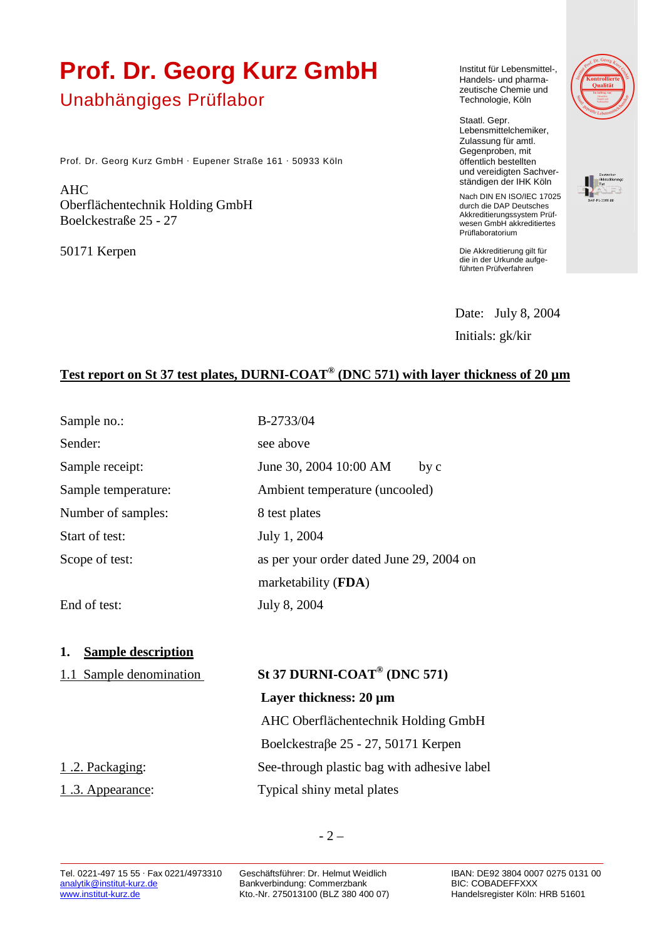# **Prof. Dr. Georg Kurz GmbH**

## Unabhängiges Prüflabor

Prof. Dr. Georg Kurz GmbH · Eupener Straße 161 · 50933 Köln

AHC Oberflächentechnik Holding GmbH Boelckestraße 25 - 27

50171 Kerpen

Institut für Lebensmittel-, Handels- und pharmazeutische Chemie und Technologie, Köln

Staatl. Gepr. Lebensmittelchemiker, Zulassung für amtl. Gegenproben, mit öffentlich bestellten und vereidigten Sachverständigen der IHK Köln



Nach DIN EN ISO/IEC 17025 durch die DAP Deutsches Akkreditierungssystem Prüfwesen GmbH akkreditiertes

Die Akkreditierung gilt für die in der Urkunde aufgeführten Prüfverfahren

Prüflaboratorium

 Date: July 8, 2004 Initials: gk/kir

### **Test report on St 37 test plates, DURNI-COAT® (DNC 571) with layer thickness of 20 µm**

| Sample no.:                     | B-2733/04                                   |
|---------------------------------|---------------------------------------------|
| Sender:                         | see above                                   |
| Sample receipt:                 | June 30, 2004 10:00 AM<br>by c              |
| Sample temperature:             | Ambient temperature (uncooled)              |
| Number of samples:              | 8 test plates                               |
| Start of test:                  | July 1, 2004                                |
| Scope of test:                  | as per your order dated June 29, 2004 on    |
|                                 | marketability (FDA)                         |
| End of test:                    | July 8, 2004                                |
| <b>Sample description</b><br>1. |                                             |
| 1.1 Sample denomination         | St 37 DURNI-COAT <sup>®</sup> (DNC 571)     |
|                                 | Layer thickness: 20 µm                      |
|                                 | AHC Oberflächentechnik Holding GmbH         |
|                                 | Boelckestraβe 25 - 27, 50171 Kerpen         |
| 1.2. Packaging:                 | See-through plastic bag with adhesive label |
| <u>1.3. Appearance</u> :        | Typical shiny metal plates                  |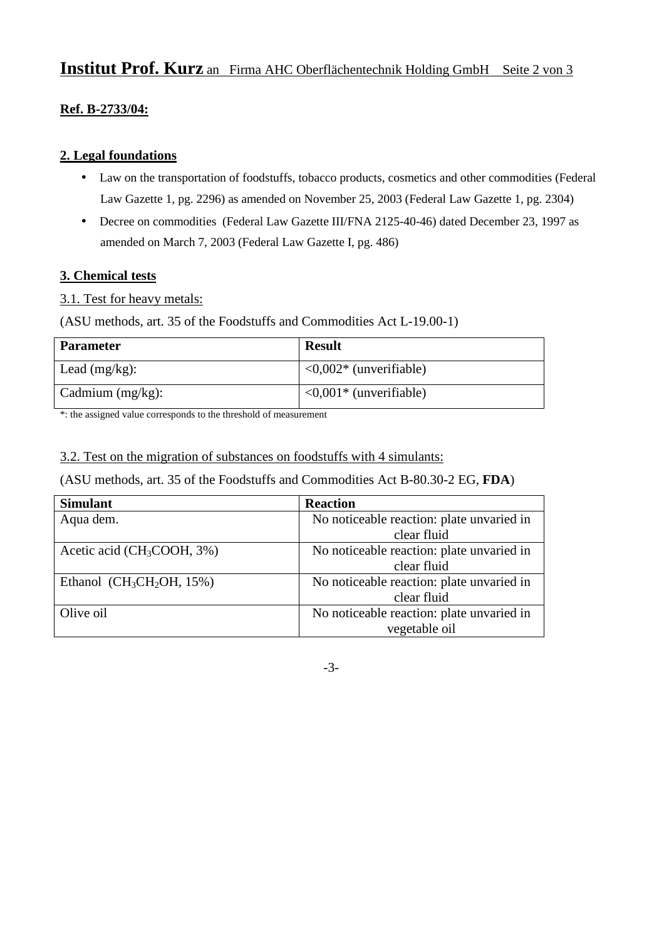## **Institut Prof. Kurz** an Firma AHC Oberflächentechnik Holding GmbH Seite 2 von 3

#### **Ref. B-2733/04:**

#### **2. Legal foundations**

- Law on the transportation of foodstuffs, tobacco products, cosmetics and other commodities (Federal Law Gazette 1, pg. 2296) as amended on November 25, 2003 (Federal Law Gazette 1, pg. 2304)
- Decree on commodities (Federal Law Gazette III/FNA 2125-40-46) dated December 23, 1997 as amended on March 7, 2003 (Federal Law Gazette I, pg. 486)

#### **3. Chemical tests**

#### 3.1. Test for heavy metals:

(ASU methods, art. 35 of the Foodstuffs and Commodities Act L-19.00-1)

| <b>Parameter</b>    | <b>Result</b>                          |
|---------------------|----------------------------------------|
| Lead $(mg/kg)$ :    | $\langle 0.002 \rangle$ (unverifiable) |
| Cadmium $(mg/kg)$ : | $\langle 0.001 \rangle$ (unverifiable) |

\*: the assigned value corresponds to the threshold of measurement

3.2. Test on the migration of substances on foodstuffs with 4 simulants:

(ASU methods, art. 35 of the Foodstuffs and Commodities Act B-80.30-2 EG, **FDA**)

| <b>Simulant</b>               | <b>Reaction</b>                           |
|-------------------------------|-------------------------------------------|
| Aqua dem.                     | No noticeable reaction: plate unvaried in |
|                               | clear fluid                               |
| Acetic acid ( $CH3COOH$ , 3%) | No noticeable reaction: plate unvaried in |
|                               | clear fluid                               |
| Ethanol ( $CH_3CH_2OH$ , 15%) | No noticeable reaction: plate unvaried in |
|                               | clear fluid                               |
| Olive oil                     | No noticeable reaction: plate unvaried in |
|                               | vegetable oil                             |

-3-